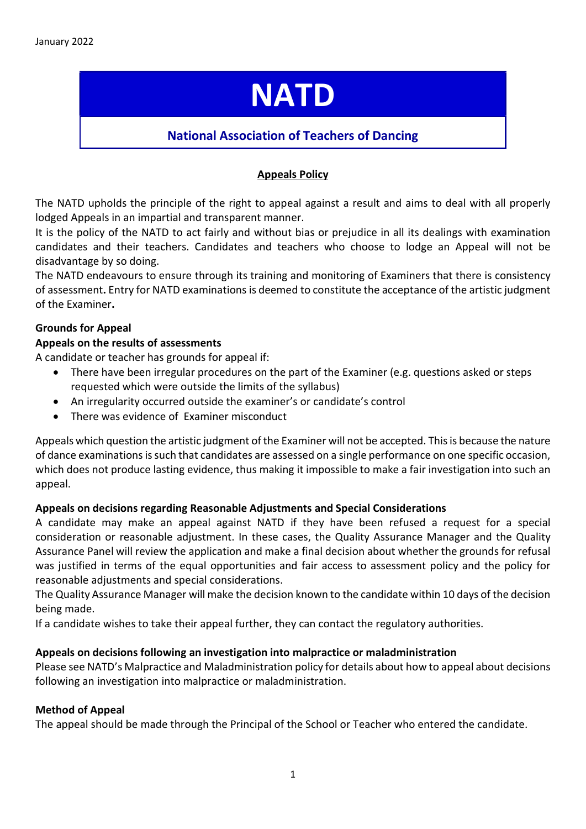# **NATD**

## National Association of Teachers of Dancing

### Appeals Policy

The NATD upholds the principle of the right to appeal against a result and aims to deal with all properly lodged Appeals in an impartial and transparent manner.

It is the policy of the NATD to act fairly and without bias or prejudice in all its dealings with examination candidates and their teachers. Candidates and teachers who choose to lodge an Appeal will not be disadvantage by so doing.

The NATD endeavours to ensure through its training and monitoring of Examiners that there is consistency of assessment. Entry for NATD examinations is deemed to constitute the acceptance of the artistic judgment of the Examiner.

## Grounds for Appeal

#### Appeals on the results of assessments

A candidate or teacher has grounds for appeal if:

- There have been irregular procedures on the part of the Examiner (e.g. questions asked or steps requested which were outside the limits of the syllabus)
- An irregularity occurred outside the examiner's or candidate's control
- There was evidence of Examiner misconduct

Appeals which question the artistic judgment of the Examiner will not be accepted. This is because the nature of dance examinations is such that candidates are assessed on a single performance on one specific occasion, which does not produce lasting evidence, thus making it impossible to make a fair investigation into such an appeal.

#### Appeals on decisions regarding Reasonable Adjustments and Special Considerations

A candidate may make an appeal against NATD if they have been refused a request for a special consideration or reasonable adjustment. In these cases, the Quality Assurance Manager and the Quality Assurance Panel will review the application and make a final decision about whether the grounds for refusal was justified in terms of the equal opportunities and fair access to assessment policy and the policy for reasonable adjustments and special considerations.

The Quality Assurance Manager will make the decision known to the candidate within 10 days of the decision being made.

If a candidate wishes to take their appeal further, they can contact the regulatory authorities.

#### Appeals on decisions following an investigation into malpractice or maladministration

Please see NATD's Malpractice and Maladministration policy for details about how to appeal about decisions following an investigation into malpractice or maladministration.

#### Method of Appeal

The appeal should be made through the Principal of the School or Teacher who entered the candidate.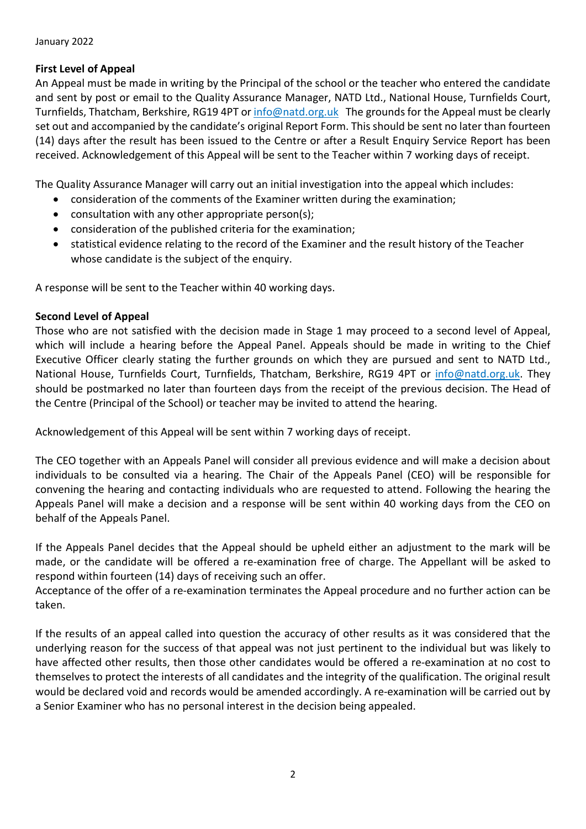#### January 2022

## First Level of Appeal

An Appeal must be made in writing by the Principal of the school or the teacher who entered the candidate and sent by post or email to the Quality Assurance Manager, NATD Ltd., National House, Turnfields Court, Turnfields, Thatcham, Berkshire, RG19 4PT or info@natd.org.uk The grounds for the Appeal must be clearly set out and accompanied by the candidate's original Report Form. This should be sent no later than fourteen (14) days after the result has been issued to the Centre or after a Result Enquiry Service Report has been received. Acknowledgement of this Appeal will be sent to the Teacher within 7 working days of receipt.

The Quality Assurance Manager will carry out an initial investigation into the appeal which includes:

- consideration of the comments of the Examiner written during the examination;
- consultation with any other appropriate person(s);
- consideration of the published criteria for the examination;
- statistical evidence relating to the record of the Examiner and the result history of the Teacher whose candidate is the subject of the enquiry.

A response will be sent to the Teacher within 40 working days.

#### Second Level of Appeal

Those who are not satisfied with the decision made in Stage 1 may proceed to a second level of Appeal, which will include a hearing before the Appeal Panel. Appeals should be made in writing to the Chief Executive Officer clearly stating the further grounds on which they are pursued and sent to NATD Ltd., National House, Turnfields Court, Turnfields, Thatcham, Berkshire, RG19 4PT or info@natd.org.uk. They should be postmarked no later than fourteen days from the receipt of the previous decision. The Head of the Centre (Principal of the School) or teacher may be invited to attend the hearing.

Acknowledgement of this Appeal will be sent within 7 working days of receipt.

The CEO together with an Appeals Panel will consider all previous evidence and will make a decision about individuals to be consulted via a hearing. The Chair of the Appeals Panel (CEO) will be responsible for convening the hearing and contacting individuals who are requested to attend. Following the hearing the Appeals Panel will make a decision and a response will be sent within 40 working days from the CEO on behalf of the Appeals Panel.

If the Appeals Panel decides that the Appeal should be upheld either an adjustment to the mark will be made, or the candidate will be offered a re-examination free of charge. The Appellant will be asked to respond within fourteen (14) days of receiving such an offer.

Acceptance of the offer of a re-examination terminates the Appeal procedure and no further action can be taken.

If the results of an appeal called into question the accuracy of other results as it was considered that the underlying reason for the success of that appeal was not just pertinent to the individual but was likely to have affected other results, then those other candidates would be offered a re-examination at no cost to themselves to protect the interests of all candidates and the integrity of the qualification. The original result would be declared void and records would be amended accordingly. A re-examination will be carried out by a Senior Examiner who has no personal interest in the decision being appealed.